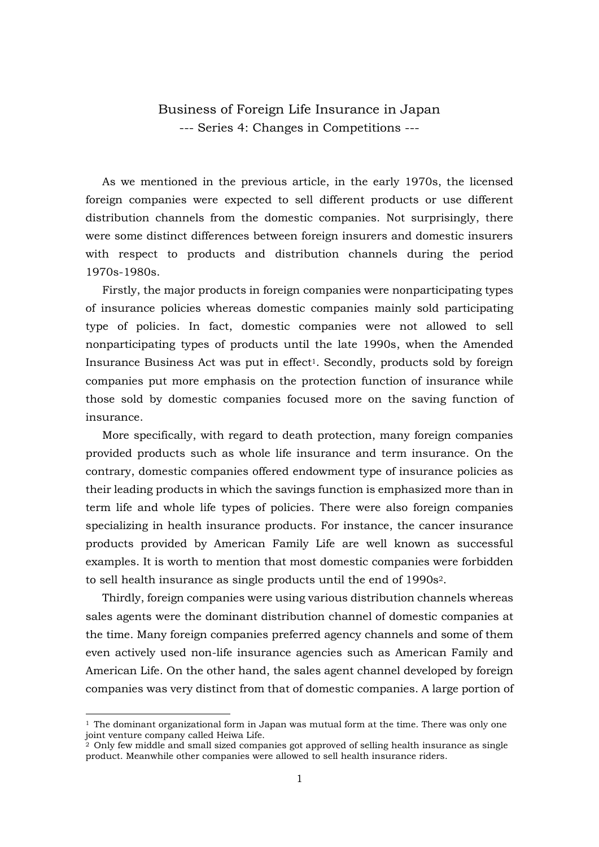## Business of Foreign Life Insurance in Japan --- Series 4: Changes in Competitions ---

 As we mentioned in the previous article, in the early 1970s, the licensed foreign companies were expected to sell different products or use different distribution channels from the domestic companies. Not surprisingly, there were some distinct differences between foreign insurers and domestic insurers with respect to products and distribution channels during the period 1970s-1980s.

Firstly, the major products in foreign companies were nonparticipating types of insurance policies whereas domestic companies mainly sold participating type of policies. In fact, domestic companies were not allowed to sell nonparticipating types of products until the late 1990s, when the Amended Insurance Business Act was put in effect<sup>1</sup>. Secondly, products sold by foreign companies put more emphasis on the protection function of insurance while those sold by domestic companies focused more on the saving function of insurance.

More specifically, with regard to death protection, many foreign companies provided products such as whole life insurance and term insurance. On the contrary, domestic companies offered endowment type of insurance policies as their leading products in which the savings function is emphasized more than in term life and whole life types of policies. There were also foreign companies specializing in health insurance products. For instance, the cancer insurance products provided by American Family Life are well known as successful examples. It is worth to mention that most domestic companies were forbidden to sell health insurance as single products until the end of 1990s2.

 Thirdly, foreign companies were using various distribution channels whereas sales agents were the dominant distribution channel of domestic companies at the time. Many foreign companies preferred agency channels and some of them even actively used non-life insurance agencies such as American Family and American Life. On the other hand, the sales agent channel developed by foreign companies was very distinct from that of domestic companies. A large portion of

-

 $1$  The dominant organizational form in Japan was mutual form at the time. There was only one joint venture company called Heiwa Life.

 $\frac{1}{2}$  Only few middle and small sized companies got approved of selling health insurance as single product. Meanwhile other companies were allowed to sell health insurance riders.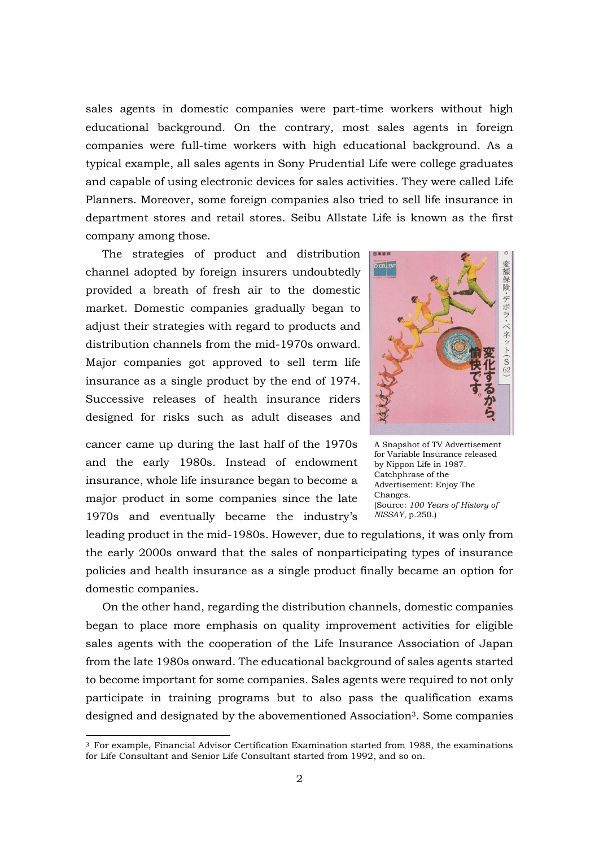sales agents in domestic companies were part-time workers without high educational background. On the contrary, most sales agents in foreign companies were full-time workers with high educational background. As a typical example, all sales agents in Sony Prudential Life were college graduates and capable of using electronic devices for sales activities. They were called Life Planners. Moreover, some foreign companies also tried to sell life insurance in department stores and retail stores. Seibu Allstate Life is known as the first company among those.

 The strategies of product and distribution channel adopted by foreign insurers undoubtedly provided a breath of fresh air to the domestic market. Domestic companies gradually began to adjust their strategies with regard to products and distribution channels from the mid-1970s onward. Major companies got approved to sell term life insurance as a single product by the end of 1974. Successive releases of health insurance riders designed for risks such as adult diseases and

cancer came up during the last half of the 1970s and the early 1980s. Instead of endowment insurance, whole life insurance began to become a major product in some companies since the late 1970s and eventually became the industry's

-



A Snapshot of TV Advertisement for Variable Insurance released by Nippon Life in 1987. Catchphrase of the Advertisement: Enjoy The Changes. (Source: *100 Years of History of NISSAY*, p.250.)

leading product in the mid-1980s. However, due to regulations, it was only from the early 2000s onward that the sales of nonparticipating types of insurance policies and health insurance as a single product finally became an option for domestic companies.

 On the other hand, regarding the distribution channels, domestic companies began to place more emphasis on quality improvement activities for eligible sales agents with the cooperation of the Life Insurance Association of Japan from the late 1980s onward. The educational background of sales agents started to become important for some companies. Sales agents were required to not only participate in training programs but to also pass the qualification exams designed and designated by the abovementioned Association<sup>3</sup>. Some companies

<sup>3</sup> For example, Financial Advisor Certification Examination started from 1988, the examinations for Life Consultant and Senior Life Consultant started from 1992, and so on.